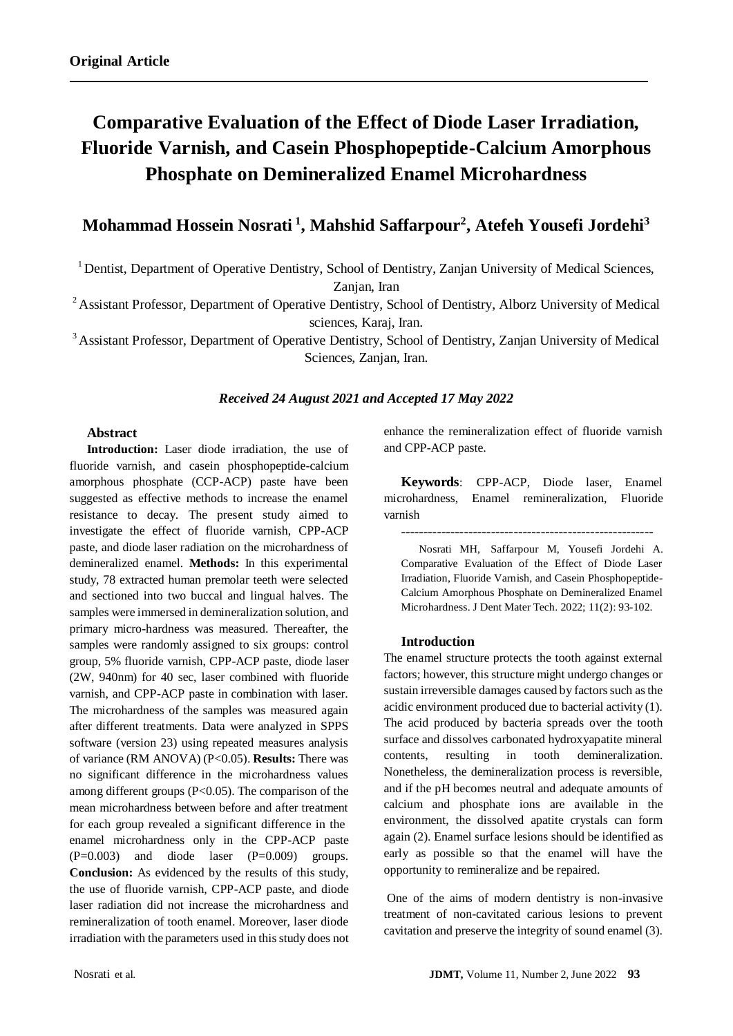# **Comparative Evaluation of the Effect of Diode Laser Irradiation, Fluoride Varnish, and Casein Phosphopeptide-Calcium Amorphous Phosphate on Demineralized Enamel Microhardness**

# **Mohammad Hossein Nosrati <sup>1</sup> , Mahshid Saffarpour<sup>2</sup> , Atefeh Yousefi Jordehi<sup>3</sup>**

<sup>1</sup> Dentist, Department of Operative Dentistry, School of Dentistry, Zanjan University of Medical Sciences,

Zanjan, Iran

<sup>2</sup> Assistant Professor, Department of Operative Dentistry, School of Dentistry, Alborz University of Medical sciences, Karaj, Iran.

<sup>3</sup> Assistant Professor, Department of Operative Dentistry, School of Dentistry, Zanjan University of Medical Sciences, Zanjan, Iran.

#### *Received 24 August 2021 and Accepted 17 May 2022*

#### **Abstract**

**Introduction:** Laser diode irradiation, the use of fluoride varnish, and casein phosphopeptide-calcium amorphous phosphate (CCP-ACP) paste have been suggested as effective methods to increase the enamel resistance to decay. The present study aimed to investigate the effect of fluoride varnish, CPP-ACP paste, and diode laser radiation on the microhardness of demineralized enamel. **Methods:** In this experimental study, 78 extracted human premolar teeth were selected and sectioned into two buccal and lingual halves. The samples were immersed in demineralization solution, and primary micro-hardness was measured. Thereafter, the samples were randomly assigned to six groups: control group, 5% fluoride varnish, CPP-ACP paste, diode laser (2W, 940nm) for 40 sec, laser combined with fluoride varnish, and CPP-ACP paste in combination with laser. The microhardness of the samples was measured again after different treatments. Data were analyzed in SPPS software (version 23) using repeated measures analysis of variance (RM ANOVA) (P<0.05). **Results:** There was no significant difference in the microhardness values among different groups (P<0.05). The comparison of the mean microhardness between before and after treatment for each group revealed a significant difference in the enamel microhardness only in the CPP-ACP paste  $(P=0.003)$  and diode laser  $(P=0.009)$  groups. **Conclusion:** As evidenced by the results of this study, the use of fluoride varnish, CPP-ACP paste, and diode laser radiation did not increase the microhardness and remineralization of tooth enamel. Moreover, laser diode irradiation with the parameters used in this study does not enhance the remineralization effect of fluoride varnish and CPP-ACP paste.

**Keywords**: CPP-ACP, Diode laser, Enamel microhardness, Enamel remineralization, Fluoride varnish

--------------------------------------------------------

Nosrati MH, Saffarpour M, Yousefi Jordehi A. Comparative Evaluation of the Effect of Diode Laser Irradiation, Fluoride Varnish, and Casein Phosphopeptide-Calcium Amorphous Phosphate on Demineralized Enamel Microhardness. J Dent Mater Tech. 2022; 11(2): 93-102.

#### **Introduction**

The enamel structure protects the tooth against external factors; however, this structure might undergo changes or sustain irreversible damages caused by factors such as the acidic environment produced due to bacterial activity (1). The acid produced by bacteria spreads over the tooth surface and dissolves carbonated hydroxyapatite mineral contents, resulting in tooth demineralization. Nonetheless, the demineralization process is reversible, and if the pH becomes neutral and adequate amounts of calcium and phosphate ions are available in the environment, the dissolved apatite crystals can form again (2). Enamel surface lesions should be identified as early as possible so that the enamel will have the opportunity to remineralize and be repaired.

One of the aims of modern dentistry is non-invasive treatment of non-cavitated carious lesions to prevent cavitation and preserve the integrity of sound enamel (3).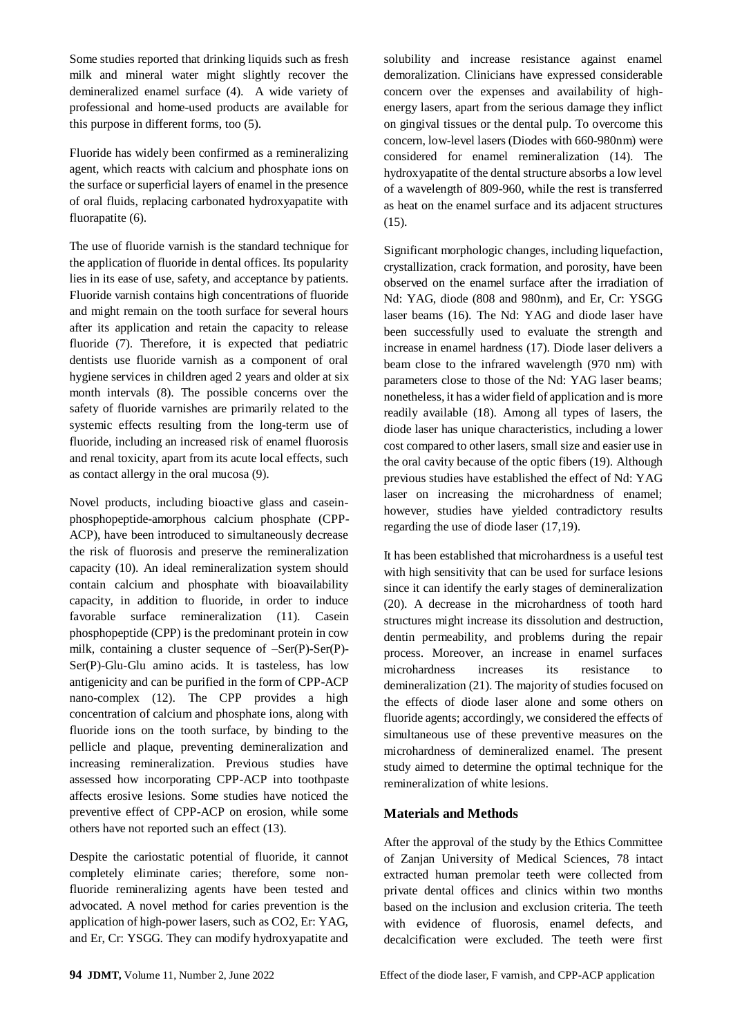Some studies reported that drinking liquids such as fresh milk and mineral water might slightly recover the demineralized enamel surface (4). A wide variety of professional and home-used products are available for this purpose in different forms, too (5).

Fluoride has widely been confirmed as a remineralizing agent, which reacts with calcium and phosphate ions on the surface or superficial layers of enamel in the presence of oral fluids, replacing carbonated hydroxyapatite with fluorapatite (6).

The use of fluoride varnish is the standard technique for the application of fluoride in dental offices. Its popularity lies in its ease of use, safety, and acceptance by patients. Fluoride varnish contains high concentrations of fluoride and might remain on the tooth surface for several hours after its application and retain the capacity to release fluoride (7). Therefore, it is expected that pediatric dentists use fluoride varnish as a component of oral hygiene services in children aged 2 years and older at six month intervals (8). The possible concerns over the safety of fluoride varnishes are primarily related to the systemic effects resulting from the long-term use of fluoride, including an increased risk of enamel fluorosis and renal toxicity, apart from its acute local effects, such as contact allergy in the oral mucosa (9).

Novel products, including bioactive glass and caseinphosphopeptide-amorphous calcium phosphate (CPP-ACP), have been introduced to simultaneously decrease the risk of fluorosis and preserve the remineralization capacity (10). An ideal remineralization system should contain calcium and phosphate with bioavailability capacity, in addition to fluoride, in order to induce favorable surface remineralization (11). Casein phosphopeptide (CPP) is the predominant protein in cow milk, containing a cluster sequence of –Ser(P)-Ser(P)- Ser(P)-Glu-Glu amino acids. It is tasteless, has low antigenicity and can be purified in the form of CPP-ACP nano-complex (12). The CPP provides a high concentration of calcium and phosphate ions, along with fluoride ions on the tooth surface, by binding to the pellicle and plaque, preventing demineralization and increasing remineralization. Previous studies have assessed how incorporating CPP-ACP into toothpaste affects erosive lesions. Some studies have noticed the preventive effect of CPP-ACP on erosion, while some others have not reported such an effect (13).

Despite the cariostatic potential of fluoride, it cannot completely eliminate caries; therefore, some nonfluoride remineralizing agents have been tested and advocated. A novel method for caries prevention is the application of high-power lasers, such as CO2, Er: YAG, and Er, Cr: YSGG. They can modify hydroxyapatite and solubility and increase resistance against enamel demoralization. Clinicians have expressed considerable concern over the expenses and availability of highenergy lasers, apart from the serious damage they inflict on gingival tissues or the dental pulp. To overcome this concern, low-level lasers (Diodes with 660-980nm) were considered for enamel remineralization (14). The hydroxyapatite of the dental structure absorbs a low level of a wavelength of 809-960, while the rest is transferred as heat on the enamel surface and its adjacent structures (15).

Significant morphologic changes, including liquefaction, crystallization, crack formation, and porosity, have been observed on the enamel surface after the irradiation of Nd: YAG, diode (808 and 980nm), and Er, Cr: YSGG laser beams (16). The Nd: YAG and diode laser have been successfully used to evaluate the strength and increase in enamel hardness (17). Diode laser delivers a beam close to the infrared wavelength (970 nm) with parameters close to those of the Nd: YAG laser beams; nonetheless, it has a wider field of application and is more readily available (18). Among all types of lasers, the diode laser has unique characteristics, including a lower cost compared to other lasers, small size and easier use in the oral cavity because of the optic fibers (19). Although previous studies have established the effect of Nd: YAG laser on increasing the microhardness of enamel; however, studies have yielded contradictory results regarding the use of diode laser (17,19).

It has been established that microhardness is a useful test with high sensitivity that can be used for surface lesions since it can identify the early stages of demineralization (20). A decrease in the microhardness of tooth hard structures might increase its dissolution and destruction, dentin permeability, and problems during the repair process. Moreover, an increase in enamel surfaces microhardness increases its resistance to demineralization (21). The majority of studies focused on the effects of diode laser alone and some others on fluoride agents; accordingly, we considered the effects of simultaneous use of these preventive measures on the microhardness of demineralized enamel. The present study aimed to determine the optimal technique for the remineralization of white lesions.

# **Materials and Methods**

After the approval of the study by the Ethics Committee of Zanjan University of Medical Sciences, 78 intact extracted human premolar teeth were collected from private dental offices and clinics within two months based on the inclusion and exclusion criteria. The teeth with evidence of fluorosis, enamel defects, and decalcification were excluded. The teeth were first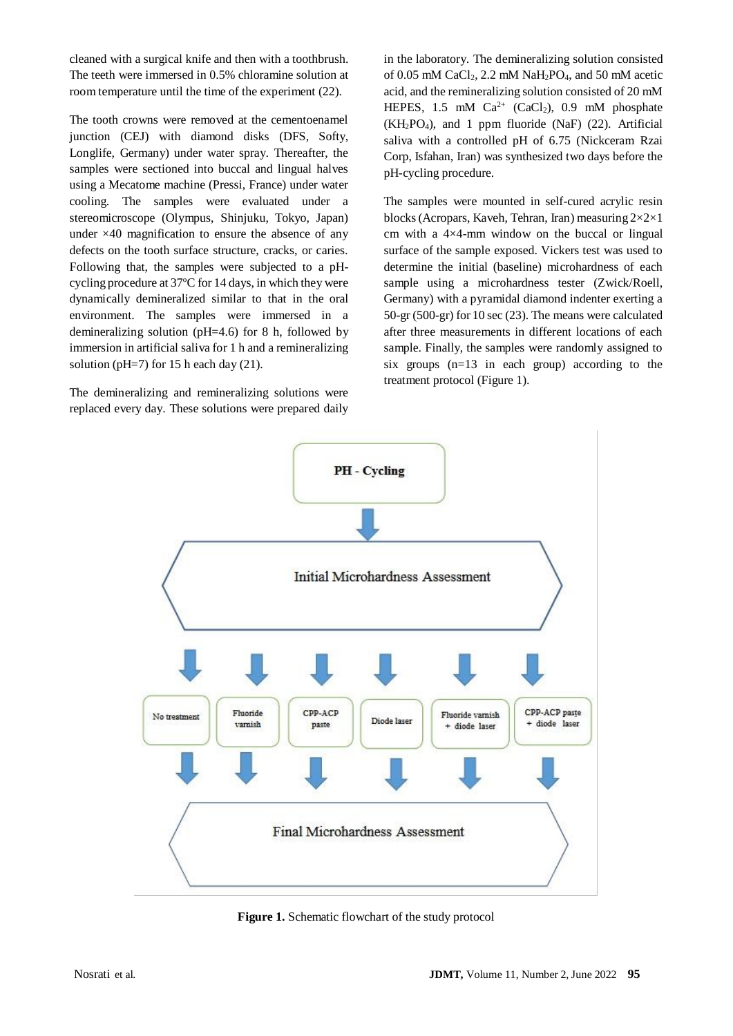cleaned with a surgical knife and then with a toothbrush. The teeth were immersed in 0.5% chloramine solution at room temperature until the time of the experiment (22).

The tooth crowns were removed at the cementoenamel junction (CEJ) with diamond disks (DFS, Softy, Longlife, Germany) under water spray. Thereafter, the samples were sectioned into buccal and lingual halves using a Mecatome machine (Pressi, France) under water cooling. The samples were evaluated under a stereomicroscope (Olympus, Shinjuku, Tokyo, Japan) under ×40 magnification to ensure the absence of any defects on the tooth surface structure, cracks, or caries. Following that, the samples were subjected to a pHcycling procedure at 37ºC for 14 days, in which they were dynamically demineralized similar to that in the oral environment. The samples were immersed in a demineralizing solution (pH=4.6) for 8 h, followed by immersion in artificial saliva for 1 h and a remineralizing solution (pH=7) for 15 h each day (21).

The demineralizing and remineralizing solutions were replaced every day. These solutions were prepared daily in the laboratory. The demineralizing solution consisted of 0.05 mM CaCl<sub>2</sub>, 2.2 mM NaH<sub>2</sub>PO<sub>4</sub>, and 50 mM acetic acid, and the remineralizing solution consisted of 20 mM HEPES, 1.5 mM  $Ca^{2+}$  (CaCl<sub>2</sub>), 0.9 mM phosphate (KH2PO4), and 1 ppm fluoride (NaF) (22). Artificial saliva with a controlled pH of 6.75 (Nickceram Rzai Corp, Isfahan, Iran) was synthesized two days before the pH-cycling procedure.

The samples were mounted in self-cured acrylic resin blocks (Acropars, Kaveh, Tehran, Iran) measuring 2×2×1 cm with a 4×4-mm window on the buccal or lingual surface of the sample exposed. Vickers test was used to determine the initial (baseline) microhardness of each sample using a microhardness tester (Zwick/Roell, Germany) with a pyramidal diamond indenter exerting a 50-gr (500-gr) for 10 sec (23). The means were calculated after three measurements in different locations of each sample. Finally, the samples were randomly assigned to six groups (n=13 in each group) according to the treatment protocol (Figure 1).



**Figure 1.** Schematic flowchart of the study protocol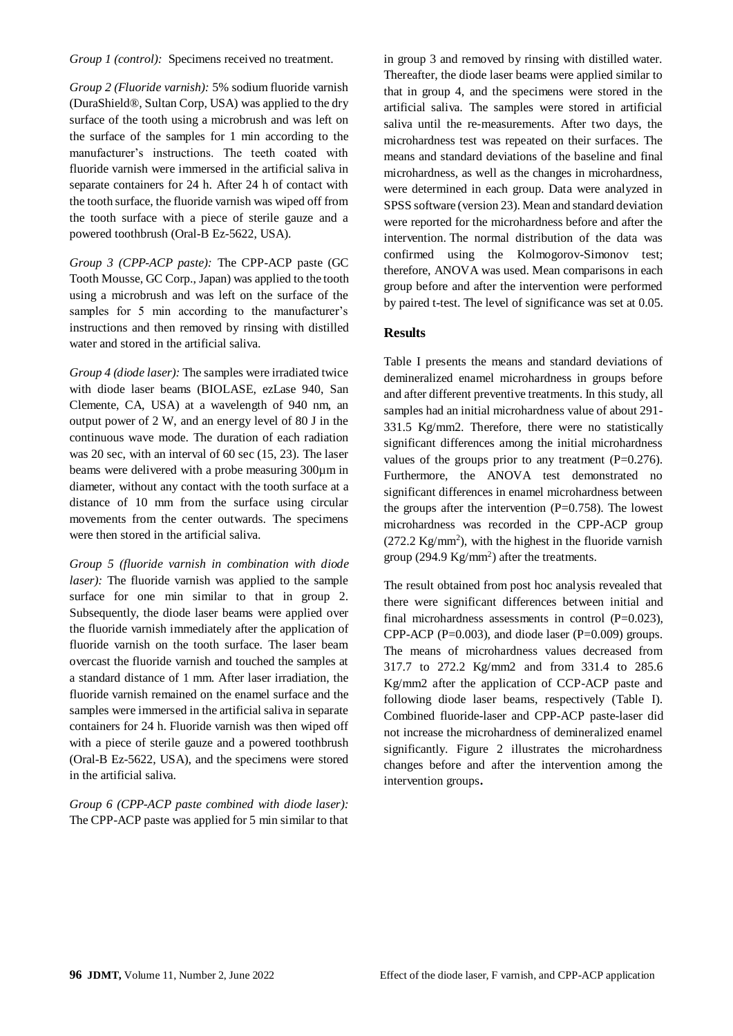*Group 1 (control):* Specimens received no treatment.

*Group 2 (Fluoride varnish):* 5% sodium fluoride varnish (DuraShield®, Sultan Corp, USA) was applied to the dry surface of the tooth using a microbrush and was left on the surface of the samples for 1 min according to the manufacturer's instructions. The teeth coated with fluoride varnish were immersed in the artificial saliva in separate containers for 24 h. After 24 h of contact with the tooth surface, the fluoride varnish was wiped off from the tooth surface with a piece of sterile gauze and a powered toothbrush (Oral-B Ez-5622, USA).

*Group 3 (CPP-ACP paste):* The CPP-ACP paste (GC Tooth Mousse, GC Corp., Japan) was applied to the tooth using a microbrush and was left on the surface of the samples for 5 min according to the manufacturer's instructions and then removed by rinsing with distilled water and stored in the artificial saliva.

*Group 4 (diode laser):* The samples were irradiated twice with diode laser beams (BIOLASE, ezLase 940, San Clemente, CA, USA) at a wavelength of 940 nm, an output power of 2 W, and an energy level of 80 J in the continuous wave mode. The duration of each radiation was 20 sec, with an interval of 60 sec (15, 23). The laser beams were delivered with a probe measuring 300µm in diameter, without any contact with the tooth surface at a distance of 10 mm from the surface using circular movements from the center outwards. The specimens were then stored in the artificial saliva.

*Group 5 (fluoride varnish in combination with diode laser*): The fluoride varnish was applied to the sample surface for one min similar to that in group 2. Subsequently, the diode laser beams were applied over the fluoride varnish immediately after the application of fluoride varnish on the tooth surface. The laser beam overcast the fluoride varnish and touched the samples at a standard distance of 1 mm. After laser irradiation, the fluoride varnish remained on the enamel surface and the samples were immersed in the artificial saliva in separate containers for 24 h. Fluoride varnish was then wiped off with a piece of sterile gauze and a powered toothbrush (Oral-B Ez-5622, USA), and the specimens were stored in the artificial saliva.

*Group 6 (CPP-ACP paste combined with diode laser):* The CPP-ACP paste was applied for 5 min similar to that

in group 3 and removed by rinsing with distilled water. Thereafter, the diode laser beams were applied similar to that in group 4, and the specimens were stored in the artificial saliva. The samples were stored in artificial saliva until the re-measurements. After two days, the microhardness test was repeated on their surfaces. The means and standard deviations of the baseline and final microhardness, as well as the changes in microhardness, were determined in each group. Data were analyzed in SPSS software (version 23). Mean and standard deviation were reported for the microhardness before and after the intervention. The normal distribution of the data was confirmed using the Kolmogorov-Simonov test; therefore, ANOVA was used. Mean comparisons in each group before and after the intervention were performed by paired t-test. The level of significance was set at 0.05.

# **Results**

Table I presents the means and standard deviations of demineralized enamel microhardness in groups before and after different preventive treatments. In this study, all samples had an initial microhardness value of about 291- 331.5 Kg/mm2. Therefore, there were no statistically significant differences among the initial microhardness values of the groups prior to any treatment  $(P=0.276)$ . Furthermore, the ANOVA test demonstrated no significant differences in enamel microhardness between the groups after the intervention  $(P=0.758)$ . The lowest microhardness was recorded in the CPP-ACP group  $(272.2 \text{ Kg/mm}^2)$ , with the highest in the fluoride varnish group (294.9  $\text{Kg/mm}^2$ ) after the treatments.

The result obtained from post hoc analysis revealed that there were significant differences between initial and final microhardness assessments in control  $(P=0.023)$ , CPP-ACP (P= $0.003$ ), and diode laser (P= $0.009$ ) groups. The means of microhardness values decreased from 317.7 to 272.2 Kg/mm2 and from 331.4 to 285.6 Kg/mm2 after the application of CCP-ACP paste and following diode laser beams, respectively (Table I). Combined fluoride-laser and CPP-ACP paste-laser did not increase the microhardness of demineralized enamel significantly. Figure 2 illustrates the microhardness changes before and after the intervention among the intervention groups**.**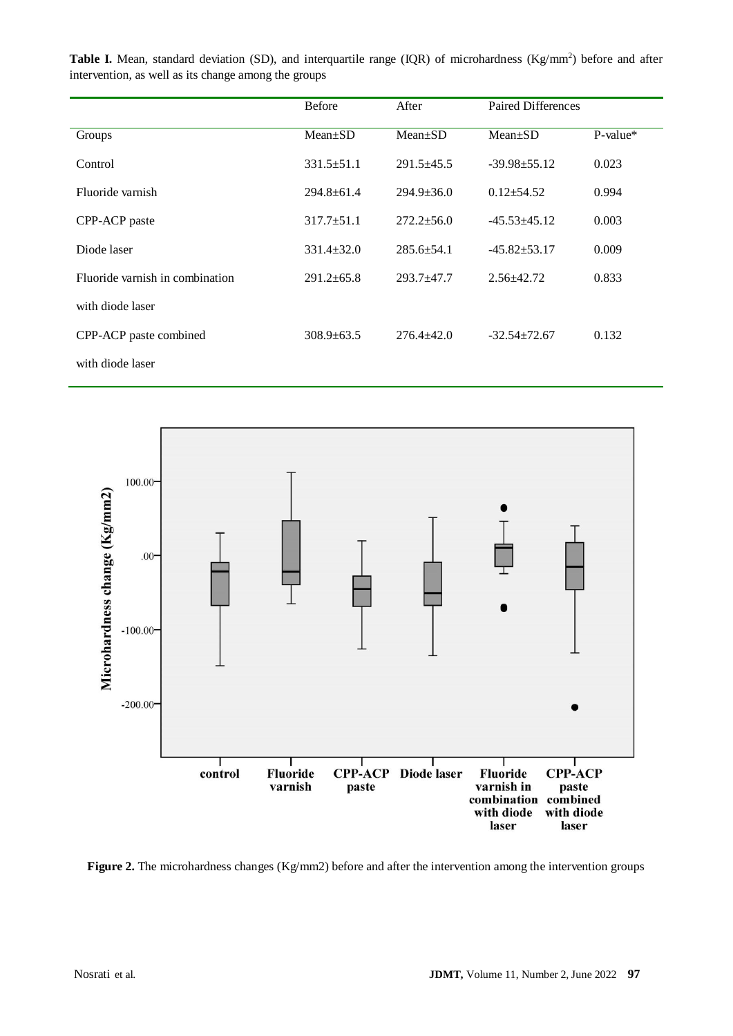| <b>Before</b>    | After<br>$Mean \pm SD$ | <b>Paired Differences</b> |          |
|------------------|------------------------|---------------------------|----------|
| $Mean \pm SD$    |                        | $Mean \pm SD$             | P-value* |
| $331.5 \pm 51.1$ | $291.5 \pm 45.5$       | $-39.98 \pm 55.12$        | 0.023    |
| $294.8 \pm 61.4$ | $294.9 \pm 36.0$       | $0.12 \pm 54.52$          | 0.994    |
| $317.7 \pm 51.1$ | $272.2 \pm 56.0$       | $-45.53 \pm 45.12$        | 0.003    |
| $331.4 \pm 32.0$ | $285.6 + 54.1$         | $-45.82 \pm 53.17$        | 0.009    |
| $291.2 \pm 65.8$ | $293.7 + 47.7$         | $2.56 \pm 42.72$          | 0.833    |
|                  |                        |                           |          |

308.9±63.5 276.4±42.0 -32.54±72.67 0.132

**Table I.** Mean, standard deviation (SD), and interquartile range (IQR) of microhardness (Kg/mm<sup>2</sup>) before and after

with diode laser

CPP-ACP paste combined



**Figure 2.** The microhardness changes (Kg/mm2) before and after the intervention among the intervention groups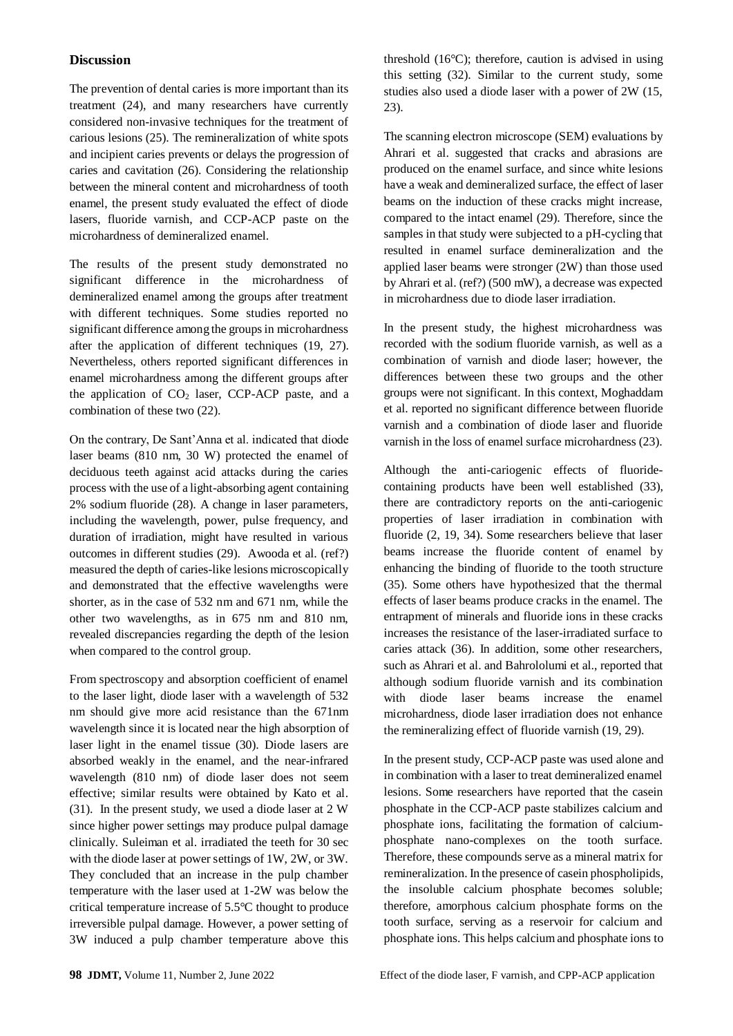#### **Discussion**

The prevention of dental caries is more important than its treatment (24), and many researchers have currently considered non-invasive techniques for the treatment of carious lesions (25). The remineralization of white spots and incipient caries prevents or delays the progression of caries and cavitation (26). Considering the relationship between the mineral content and microhardness of tooth enamel, the present study evaluated the effect of diode lasers, fluoride varnish, and CCP-ACP paste on the microhardness of demineralized enamel.

The results of the present study demonstrated no significant difference in the microhardness of demineralized enamel among the groups after treatment with different techniques. Some studies reported no significant difference among the groups in microhardness after the application of different techniques (19, 27). Nevertheless, others reported significant differences in enamel microhardness among the different groups after the application of  $CO<sub>2</sub>$  laser, CCP-ACP paste, and a combination of these two (22).

On the contrary, De Sant'Anna et al. indicated that diode laser beams (810 nm, 30 W) protected the enamel of deciduous teeth against acid attacks during the caries process with the use of a light-absorbing agent containing 2% sodium fluoride (28). A change in laser parameters, including the wavelength, power, pulse frequency, and duration of irradiation, might have resulted in various outcomes in different studies (29). Awooda et al. (ref?) measured the depth of caries-like lesions microscopically and demonstrated that the effective wavelengths were shorter, as in the case of 532 nm and 671 nm, while the other two wavelengths, as in 675 nm and 810 nm, revealed discrepancies regarding the depth of the lesion when compared to the control group.

From spectroscopy and absorption coefficient of enamel to the laser light, diode laser with a wavelength of 532 nm should give more acid resistance than the 671nm wavelength since it is located near the high absorption of laser light in the enamel tissue (30). Diode lasers are absorbed weakly in the enamel, and the near-infrared wavelength (810 nm) of diode laser does not seem effective; similar results were obtained by Kato et al. (31). In the present study, we used a diode laser at 2 W since higher power settings may produce pulpal damage clinically. Suleiman et al. irradiated the teeth for 30 sec with the diode laser at power settings of 1W, 2W, or 3W. They concluded that an increase in the pulp chamber temperature with the laser used at 1-2W was below the critical temperature increase of 5.5°C thought to produce irreversible pulpal damage. However, a power setting of 3W induced a pulp chamber temperature above this

threshold (16°C); therefore, caution is advised in using this setting (32). Similar to the current study, some studies also used a diode laser with a power of 2W (15, 23).

The scanning electron microscope (SEM) evaluations by Ahrari et al. suggested that cracks and abrasions are produced on the enamel surface, and since white lesions have a weak and demineralized surface, the effect of laser beams on the induction of these cracks might increase, compared to the intact enamel (29). Therefore, since the samples in that study were subjected to a pH-cycling that resulted in enamel surface demineralization and the applied laser beams were stronger (2W) than those used by Ahrari et al. (ref?) (500 mW), a decrease was expected in microhardness due to diode laser irradiation.

In the present study, the highest microhardness was recorded with the sodium fluoride varnish, as well as a combination of varnish and diode laser; however, the differences between these two groups and the other groups were not significant. In this context, Moghaddam et al. reported no significant difference between fluoride varnish and a combination of diode laser and fluoride varnish in the loss of enamel surface microhardness (23).

Although the anti-cariogenic effects of fluoridecontaining products have been well established (33), there are contradictory reports on the anti-cariogenic properties of laser irradiation in combination with fluoride (2, 19, 34). Some researchers believe that laser beams increase the fluoride content of enamel by enhancing the binding of fluoride to the tooth structure (35). Some others have hypothesized that the thermal effects of laser beams produce cracks in the enamel. The entrapment of minerals and fluoride ions in these cracks increases the resistance of the laser-irradiated surface to caries attack (36). In addition, some other researchers, such as Ahrari et al. and Bahrololumi et al., reported that although sodium fluoride varnish and its combination with diode laser beams increase the enamel microhardness, diode laser irradiation does not enhance the remineralizing effect of fluoride varnish (19, 29).

In the present study, CCP-ACP paste was used alone and in combination with a laser to treat demineralized enamel lesions. Some researchers have reported that the casein phosphate in the CCP-ACP paste stabilizes calcium and phosphate ions, facilitating the formation of calciumphosphate nano-complexes on the tooth surface. Therefore, these compounds serve as a mineral matrix for remineralization. In the presence of casein phospholipids, the insoluble calcium phosphate becomes soluble; therefore, amorphous calcium phosphate forms on the tooth surface, serving as a reservoir for calcium and phosphate ions. This helps calcium and phosphate ions to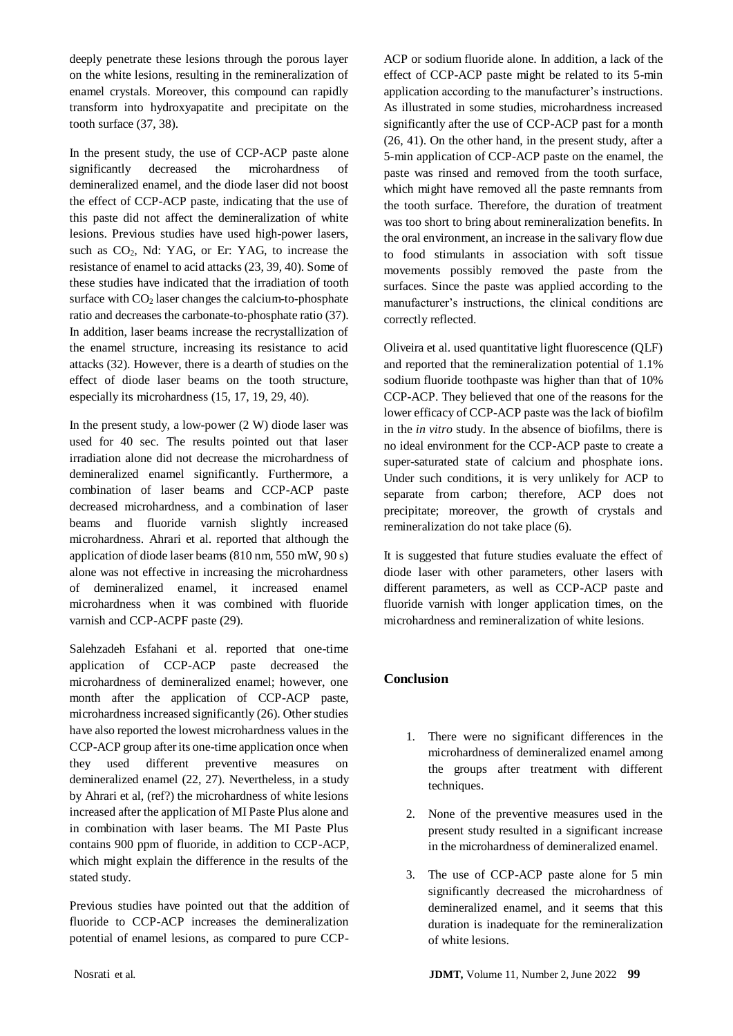deeply penetrate these lesions through the porous layer on the white lesions, resulting in the remineralization of enamel crystals. Moreover, this compound can rapidly transform into hydroxyapatite and precipitate on the tooth surface (37, 38).

In the present study, the use of CCP-ACP paste alone significantly decreased the microhardness of demineralized enamel, and the diode laser did not boost the effect of CCP-ACP paste, indicating that the use of this paste did not affect the demineralization of white lesions. Previous studies have used high-power lasers, such as  $CO<sub>2</sub>$ , Nd: YAG, or Er: YAG, to increase the resistance of enamel to acid attacks (23, 39, 40). Some of these studies have indicated that the irradiation of tooth surface with  $CO<sub>2</sub>$  laser changes the calcium-to-phosphate ratio and decreases the carbonate-to-phosphate ratio (37). In addition, laser beams increase the recrystallization of the enamel structure, increasing its resistance to acid attacks (32). However, there is a dearth of studies on the effect of diode laser beams on the tooth structure, especially its microhardness (15, 17, 19, 29, 40).

In the present study, a low-power  $(2 W)$  diode laser was used for 40 sec. The results pointed out that laser irradiation alone did not decrease the microhardness of demineralized enamel significantly. Furthermore, a combination of laser beams and CCP-ACP paste decreased microhardness, and a combination of laser beams and fluoride varnish slightly increased microhardness. Ahrari et al. reported that although the application of diode laser beams (810 nm, 550 mW, 90 s) alone was not effective in increasing the microhardness of demineralized enamel, it increased enamel microhardness when it was combined with fluoride varnish and CCP-ACPF paste (29).

Salehzadeh Esfahani et al. reported that one-time application of CCP-ACP paste decreased the microhardness of demineralized enamel; however, one month after the application of CCP-ACP paste, microhardness increased significantly (26). Other studies have also reported the lowest microhardness values in the CCP-ACP group after its one-time application once when they used different preventive measures on demineralized enamel (22, 27). Nevertheless, in a study by Ahrari et al, (ref?) the microhardness of white lesions increased after the application of MI Paste Plus alone and in combination with laser beams. The MI Paste Plus contains 900 ppm of fluoride, in addition to CCP-ACP, which might explain the difference in the results of the stated study.

Previous studies have pointed out that the addition of fluoride to CCP-ACP increases the demineralization potential of enamel lesions, as compared to pure CCP- ACP or sodium fluoride alone. In addition, a lack of the effect of CCP-ACP paste might be related to its 5-min application according to the manufacturer's instructions. As illustrated in some studies, microhardness increased significantly after the use of CCP-ACP past for a month (26, 41). On the other hand, in the present study, after a 5-min application of CCP-ACP paste on the enamel, the paste was rinsed and removed from the tooth surface, which might have removed all the paste remnants from the tooth surface. Therefore, the duration of treatment was too short to bring about remineralization benefits. In the oral environment, an increase in the salivary flow due to food stimulants in association with soft tissue movements possibly removed the paste from the surfaces. Since the paste was applied according to the manufacturer's instructions, the clinical conditions are correctly reflected.

Oliveira et al. used quantitative light fluorescence (QLF) and reported that the remineralization potential of 1.1% sodium fluoride toothpaste was higher than that of 10% CCP-ACP. They believed that one of the reasons for the lower efficacy of CCP-ACP paste was the lack of biofilm in the *in vitro* study. In the absence of biofilms, there is no ideal environment for the CCP-ACP paste to create a super-saturated state of calcium and phosphate ions. Under such conditions, it is very unlikely for ACP to separate from carbon; therefore, ACP does not precipitate; moreover, the growth of crystals and remineralization do not take place (6).

It is suggested that future studies evaluate the effect of diode laser with other parameters, other lasers with different parameters, as well as CCP-ACP paste and fluoride varnish with longer application times, on the microhardness and remineralization of white lesions.

# **Conclusion**

- 1. There were no significant differences in the microhardness of demineralized enamel among the groups after treatment with different techniques.
- 2. None of the preventive measures used in the present study resulted in a significant increase in the microhardness of demineralized enamel.
- 3. The use of CCP-ACP paste alone for 5 min significantly decreased the microhardness of demineralized enamel, and it seems that this duration is inadequate for the remineralization of white lesions.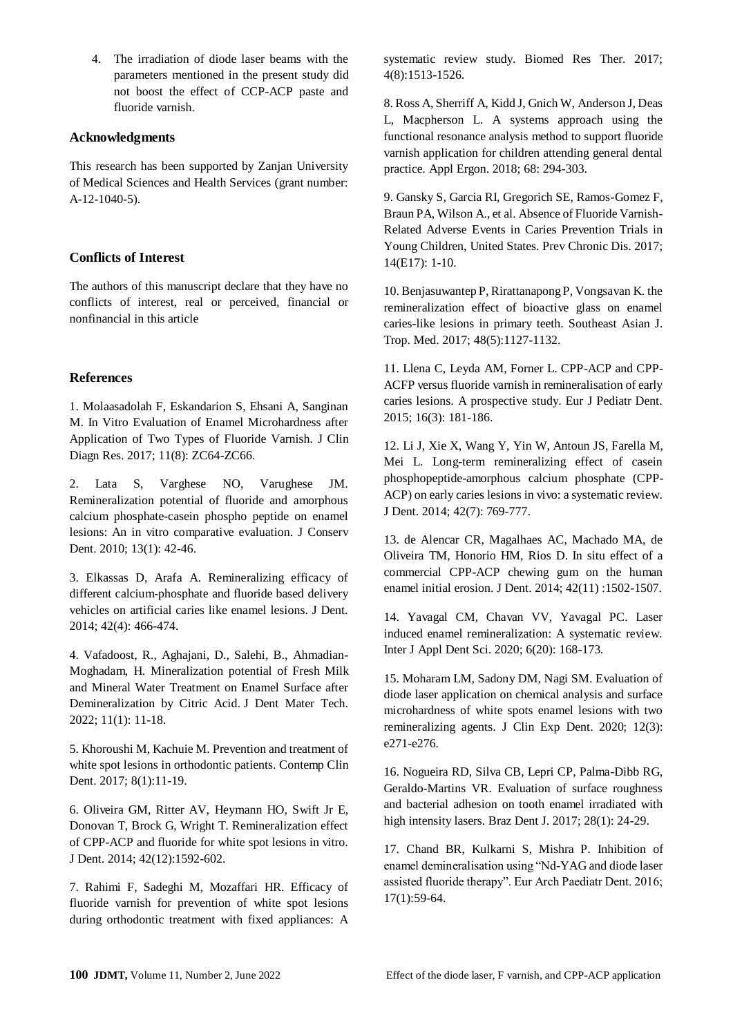4. The irradiation of diode laser beams with the parameters mentioned in the present study did not boost the effect of CCP-ACP paste and fluoride varnish.

# **Acknowledgments**

This research has been supported by Zanjan University of Medical Sciences and Health Services (grant number: A-12-1040-5).

# **Conflicts of Interest**

The authors of this manuscript declare that they have no conflicts of interest, real or perceived, financial or nonfinancial in this article

# **References**

1. Molaasadolah F, Eskandarion S, Ehsani A, Sanginan M. In Vitro Evaluation of Enamel Microhardness after Application of Two Types of Fluoride Varnish. J Clin Diagn Res. 2017; 11(8): ZC64-ZC66.

2. Lata S, Varghese NO, Varughese JM. Remineralization potential of fluoride and amorphous calcium phosphate-casein phospho peptide on enamel lesions: An in vitro comparative evaluation. J Conserv Dent. 2010; 13(1): 42-46.

3. Elkassas D, Arafa A. Remineralizing efficacy of different calcium-phosphate and fluoride based delivery vehicles on artificial caries like enamel lesions. J Dent. 2014; 42(4): 466-474.

4. Vafadoost, R., Aghajani, D., Salehi, B., Ahmadian-Moghadam, H. Mineralization potential of Fresh Milk and Mineral Water Treatment on Enamel Surface after Demineralization by Citric Acid. J Dent Mater Tech. 2022; 11(1): 11-18.

5. Khoroushi M, Kachuie M. Prevention and treatment of white spot lesions in orthodontic patients. Contemp Clin Dent. 2017; 8(1):11-19.

6. Oliveira GM, Ritter AV, Heymann HO, Swift Jr E, Donovan T, Brock G, Wright T. Remineralization effect of CPP-ACP and fluoride for white spot lesions in vitro. J Dent. 2014; 42(12):1592-602.

7. Rahimi F, Sadeghi M, Mozaffari HR. Efficacy of fluoride varnish for prevention of white spot lesions during orthodontic treatment with fixed appliances: A systematic review study. Biomed Res Ther. 2017; 4(8):1513-1526.

8. Ross A, Sherriff A, Kidd J, Gnich W, Anderson J, Deas L, Macpherson L. A systems approach using the functional resonance analysis method to support fluoride varnish application for children attending general dental practice. Appl Ergon. 2018; 68: 294-303.

9. Gansky S, Garcia RI, Gregorich SE, Ramos-Gomez F, Braun PA, Wilson A., et al. Absence of Fluoride Varnish-Related Adverse Events in Caries Prevention Trials in Young Children, United States. Prev Chronic Dis. 2017; 14(E17): 1-10.

10. Benjasuwantep P, Rirattanapong P, Vongsavan K. the remineralization effect of bioactive glass on enamel caries-like lesions in primary teeth. Southeast Asian J. Trop. Med. 2017; 48(5):1127-1132.

11. Llena C, Leyda AM, Forner L. CPP-ACP and CPP-ACFP versus fluoride varnish in remineralisation of early caries lesions. A prospective study. Eur J Pediatr Dent. 2015; 16(3): 181-186.

12. Li J, Xie X, Wang Y, Yin W, Antoun JS, Farella M, Mei L. Long-term remineralizing effect of casein phosphopeptide-amorphous calcium phosphate (CPP-ACP) on early caries lesions in vivo: a systematic review. J Dent. 2014; 42(7): 769-777.

13. de Alencar CR, Magalhaes AC, Machado MA, de Oliveira TM, Honorio HM, Rios D. In situ effect of a commercial CPP-ACP chewing gum on the human enamel initial erosion. J Dent. 2014; 42(11) :1502-1507.

14. Yavagal CM, Chavan VV, Yavagal PC. Laser induced enamel remineralization: A systematic review. Inter J Appl Dent Sci. 2020; 6(20): 168-173.

15. Moharam LM, Sadony DM, Nagi SM. Evaluation of diode laser application on chemical analysis and surface microhardness of white spots enamel lesions with two remineralizing agents. J Clin Exp Dent. 2020; 12(3): e271-e276.

16. Nogueira RD, Silva CB, Lepri CP, Palma-Dibb RG, Geraldo-Martins VR. Evaluation of surface roughness and bacterial adhesion on tooth enamel irradiated with high intensity lasers. Braz Dent J. 2017; 28(1): 24-29.

17. Chand BR, Kulkarni S, Mishra P. Inhibition of enamel demineralisation using "Nd-YAG and diode laser assisted fluoride therapy". Eur Arch Paediatr Dent. 2016; 17(1):59-64.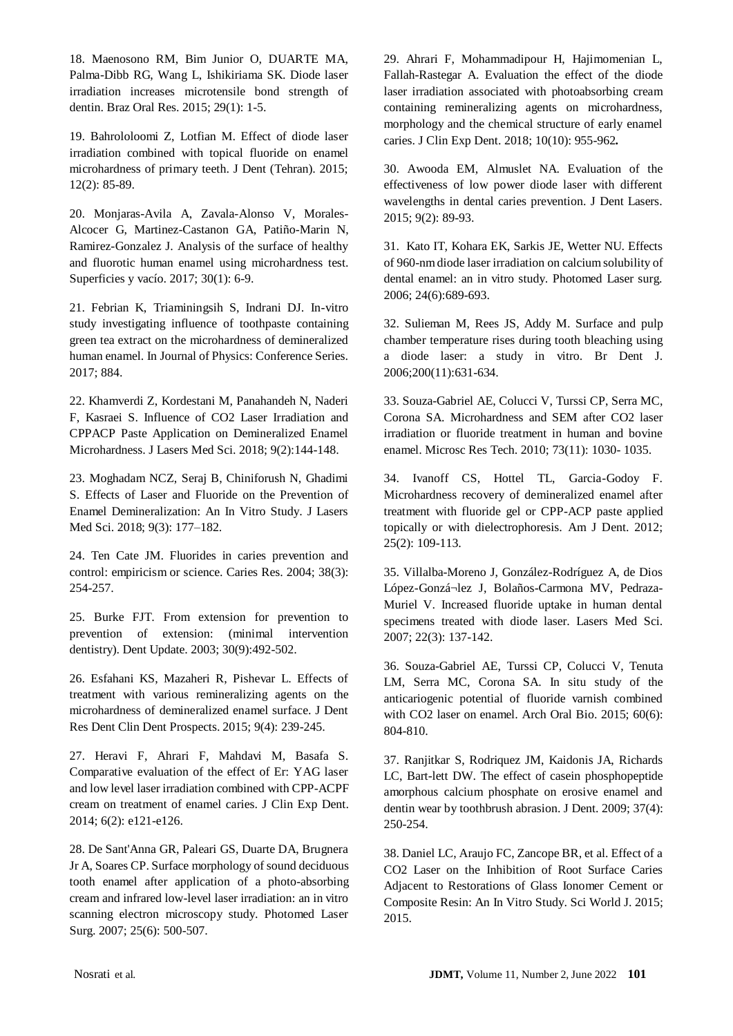18. Maenosono RM, Bim Junior O, DUARTE MA, Palma-Dibb RG, Wang L, Ishikiriama SK. Diode laser irradiation increases microtensile bond strength of dentin. Braz Oral Res. 2015; 29(1): 1-5.

19. Bahrololoomi Z, Lotfian M. Effect of diode laser irradiation combined with topical fluoride on enamel microhardness of primary teeth. J Dent (Tehran). 2015; 12(2): 85-89.

20. Monjaras-Avila A, Zavala-Alonso V, Morales-Alcocer G, Martinez-Castanon GA, Patiño-Marin N, Ramirez-Gonzalez J. Analysis of the surface of healthy and fluorotic human enamel using microhardness test. Superficies y vacío. 2017; 30(1): 6-9.

21. Febrian K, Triaminingsih S, Indrani DJ. In-vitro study investigating influence of toothpaste containing green tea extract on the microhardness of demineralized human enamel. In Journal of Physics: Conference Series. 2017; 884.

22. Khamverdi Z, Kordestani M, Panahandeh N, Naderi F, Kasraei S. Influence of CO2 Laser Irradiation and CPPACP Paste Application on Demineralized Enamel Microhardness. J Lasers Med Sci. 2018; 9(2):144-148.

23. Moghadam NCZ, Seraj B, Chiniforush N, Ghadimi S. Effects of Laser and Fluoride on the Prevention of Enamel Demineralization: An In Vitro Study. J Lasers Med Sci. 2018; 9(3): 177–182.

24. Ten Cate JM. Fluorides in caries prevention and control: empiricism or science. Caries Res. 2004; 38(3): 254-257.

25. Burke FJT. From extension for prevention to prevention of extension: (minimal intervention dentistry). Dent Update. 2003; 30(9):492-502.

26. Esfahani KS, Mazaheri R, Pishevar L. Effects of treatment with various remineralizing agents on the microhardness of demineralized enamel surface. J Dent Res Dent Clin Dent Prospects. 2015; 9(4): 239-245.

27. Heravi F, Ahrari F, Mahdavi M, Basafa S. Comparative evaluation of the effect of Er: YAG laser and low level laser irradiation combined with CPP-ACPF cream on treatment of enamel caries. J Clin Exp Dent. 2014; 6(2): e121-e126.

28. De Sant'Anna GR, Paleari GS, Duarte DA, Brugnera Jr A, Soares CP. Surface morphology of sound deciduous tooth enamel after application of a photo-absorbing cream and infrared low-level laser irradiation: an in vitro scanning electron microscopy study. Photomed Laser Surg. 2007; 25(6): 500-507.

29. Ahrari F, Mohammadipour H, Hajimomenian L, Fallah-Rastegar A. Evaluation the effect of the diode laser irradiation associated with photoabsorbing cream containing remineralizing agents on microhardness, morphology and the chemical structure of early enamel caries. J Clin Exp Dent. 2018; 10(10): 955-962**.**

30. Awooda EM, Almuslet NA. Evaluation of the effectiveness of low power diode laser with different wavelengths in dental caries prevention. J Dent Lasers. 2015; 9(2): 89-93.

31. Kato IT, Kohara EK, Sarkis JE, Wetter NU. Effects of 960-nm diode laser irradiation on calcium solubility of dental enamel: an in vitro study. Photomed Laser surg. 2006; 24(6):689-693.

32. Sulieman M, Rees JS, Addy M. Surface and pulp chamber temperature rises during tooth bleaching using a diode laser: a study in vitro. Br Dent J. 2006;200(11):631-634.

33. Souza-Gabriel AE, Colucci V, Turssi CP, Serra MC, Corona SA. Microhardness and SEM after CO2 laser irradiation or fluoride treatment in human and bovine enamel. Microsc Res Tech. 2010; 73(11): 1030- 1035.

34. Ivanoff CS, Hottel TL, Garcia-Godoy F. Microhardness recovery of demineralized enamel after treatment with fluoride gel or CPP-ACP paste applied topically or with dielectrophoresis. Am J Dent. 2012; 25(2): 109-113.

35. Villalba-Moreno J, González-Rodríguez A, de Dios López-Gonzá¬lez J, Bolaños-Carmona MV, Pedraza-Muriel V. Increased fluoride uptake in human dental specimens treated with diode laser. Lasers Med Sci. 2007; 22(3): 137-142.

36. Souza-Gabriel AE, Turssi CP, Colucci V, Tenuta LM, Serra MC, Corona SA. In situ study of the anticariogenic potential of fluoride varnish combined with CO2 laser on enamel. Arch Oral Bio. 2015; 60(6): 804-810.

37. Ranjitkar S, Rodriquez JM, Kaidonis JA, Richards LC, Bart-lett DW. The effect of casein phosphopeptide amorphous calcium phosphate on erosive enamel and dentin wear by toothbrush abrasion. J Dent. 2009; 37(4): 250-254.

38. Daniel LC, Araujo FC, Zancope BR, et al. Effect of a CO2 Laser on the Inhibition of Root Surface Caries Adjacent to Restorations of Glass Ionomer Cement or Composite Resin: An In Vitro Study. Sci World J. 2015; 2015.